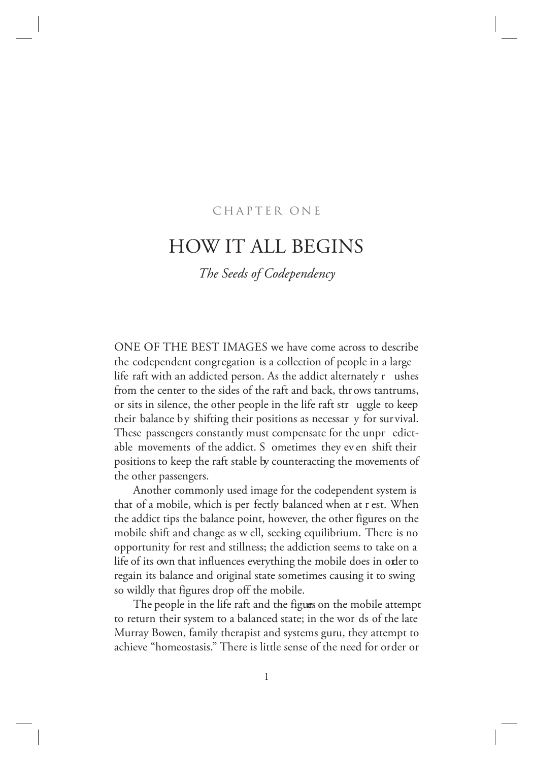# CHAPTER ONE

# HOW IT ALL BEGINS

*The Seeds of Codependency*

ONE OF THE BEST IMAGES we have come across to describe the codependent congregation is a collection of people in a large life raft with an addicted person. As the addict alternately r ushes from the center to the sides of the raft and back, thr ows tantrums, or sits in silence, the other people in the life raft str uggle to keep their balance by shifting their positions as necessar y for survival. These passengers constantly must compensate for the unpr edictable movements of the addict. S ometimes they ev en shift their positions to keep the raft stable by counteracting the movements of the other passengers.

Another commonly used image for the codependent system is that of a mobile, which is per fectly balanced when at r est. When the addict tips the balance point, however, the other figures on the mobile shift and change as w ell, seeking equilibrium. There is no opportunity for rest and stillness; the addiction seems to take on a life of its own that influences everything the mobile does in order to regain its balance and original state sometimes causing it to swing so wildly that figures drop off the mobile.

The people in the life raft and the figures on the mobile attempt to return their system to a balanced state; in the wor ds of the late Murray Bowen, family therapist and systems guru, they attempt to achieve "homeostasis." There is little sense of the need for order or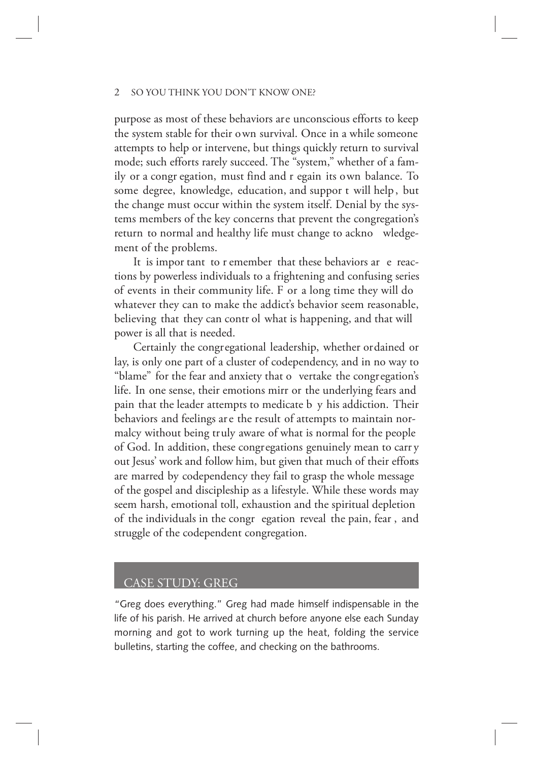purpose as most of these behaviors are unconscious efforts to keep the system stable for their own survival. Once in a while someone attempts to help or intervene, but things quickly return to survival mode; such efforts rarely succeed. The "system," whether of a family or a congr egation, must find and r egain its own balance. To some degree, knowledge, education, and suppor t will help , but the change must occur within the system itself. Denial by the systems members of the key concerns that prevent the congregation's return to normal and healthy life must change to ackno wledgement of the problems.

It is impor tant to r emember that these behaviors ar e reactions by powerless individuals to a frightening and confusing series of events in their community life. F or a long time they will do whatever they can to make the addict's behavior seem reasonable, believing that they can contr ol what is happening, and that will power is all that is needed.

Certainly the congregational leadership, whether ordained or lay, is only one part of a cluster of codependency, and in no way to "blame" for the fear and anxiety that o vertake the congregation's life. In one sense, their emotions mirr or the underlying fears and pain that the leader attempts to medicate b y his addiction. Their behaviors and feelings are the result of attempts to maintain normalcy without being truly aware of what is normal for the people of God. In addition, these congregations genuinely mean to carr y out Jesus' work and follow him, but given that much of their efforts are marred by codependency they fail to grasp the whole message of the gospel and discipleship as a lifestyle. While these words may seem harsh, emotional toll, exhaustion and the spiritual depletion of the individuals in the congr egation reveal the pain, fear , and struggle of the codependent congregation.

### CASE STUDY: GREG

"Greg does everything." Greg had made himself indispensable in the life of his parish. He arrived at church before anyone else each Sunday morning and got to work turning up the heat, folding the service bulletins, starting the coffee, and checking on the bathrooms.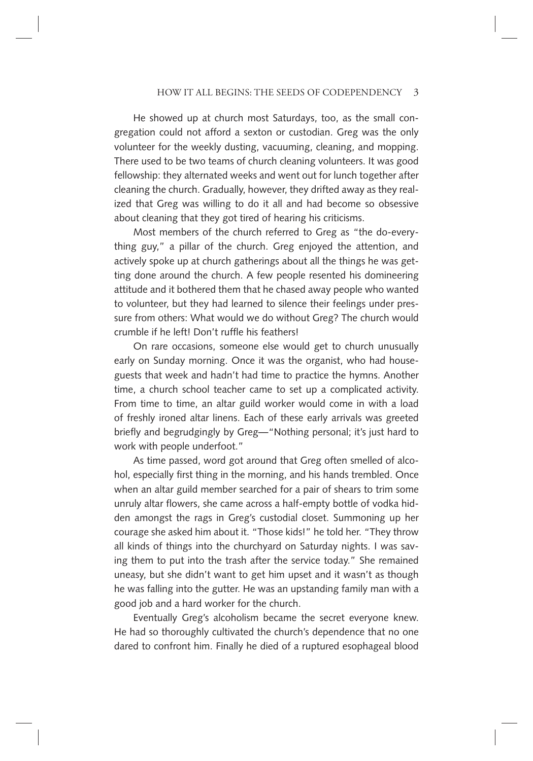He showed up at church most Saturdays, too, as the small congregation could not afford a sexton or custodian. Greg was the only volunteer for the weekly dusting, vacuuming, cleaning, and mopping. There used to be two teams of church cleaning volunteers. It was good fellowship: they alternated weeks and went out for lunch together after cleaning the church. Gradually, however, they drifted away as they realized that Greg was willing to do it all and had become so obsessive about cleaning that they got tired of hearing his criticisms.

Most members of the church referred to Greg as "the do-everything guy," a pillar of the church. Greg enjoyed the attention, and actively spoke up at church gatherings about all the things he was getting done around the church. A few people resented his domineering attitude and it bothered them that he chased away people who wanted to volunteer, but they had learned to silence their feelings under pressure from others: What would we do without Greg? The church would crumble if he left! Don't ruffle his feathers!

On rare occasions, someone else would get to church unusually early on Sunday morning. Once it was the organist, who had houseguests that week and hadn't had time to practice the hymns. Another time, a church school teacher came to set up a complicated activity. From time to time, an altar guild worker would come in with a load of freshly ironed altar linens. Each of these early arrivals was greeted briefly and begrudgingly by Greg—"Nothing personal; it's just hard to work with people underfoot."

As time passed, word got around that Greg often smelled of alcohol, especially first thing in the morning, and his hands trembled. Once when an altar guild member searched for a pair of shears to trim some unruly altar flowers, she came across a half-empty bottle of vodka hidden amongst the rags in Greg's custodial closet. Summoning up her courage she asked him about it. "Those kids!" he told her. "They throw all kinds of things into the churchyard on Saturday nights. I was saving them to put into the trash after the service today." She remained uneasy, but she didn't want to get him upset and it wasn't as though he was falling into the gutter. He was an upstanding family man with a good job and a hard worker for the church.

Eventually Greg's alcoholism became the secret everyone knew. He had so thoroughly cultivated the church's dependence that no one dared to confront him. Finally he died of a ruptured esophageal blood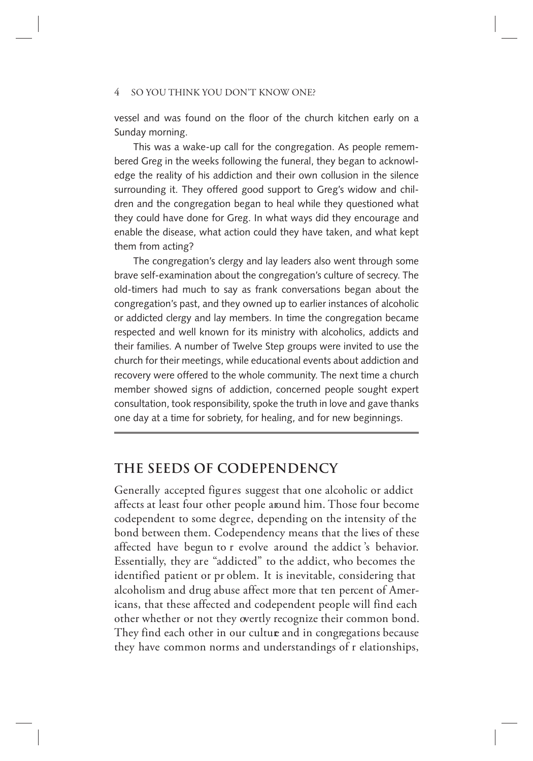vessel and was found on the floor of the church kitchen early on a Sunday morning.

This was a wake-up call for the congregation. As people remembered Greg in the weeks following the funeral, they began to acknowledge the reality of his addiction and their own collusion in the silence surrounding it. They offered good support to Greg's widow and children and the congregation began to heal while they questioned what they could have done for Greg. In what ways did they encourage and enable the disease, what action could they have taken, and what kept them from acting?

The congregation's clergy and lay leaders also went through some brave self-examination about the congregation's culture of secrecy. The old-timers had much to say as frank conversations began about the congregation's past, and they owned up to earlier instances of alcoholic or addicted clergy and lay members. In time the congregation became respected and well known for its ministry with alcoholics, addicts and their families. A number of Twelve Step groups were invited to use the church for their meetings, while educational events about addiction and recovery were offered to the whole community. The next time a church member showed signs of addiction, concerned people sought expert consultation, took responsibility, spoke the truth in love and gave thanks one day at a time for sobriety, for healing, and for new beginnings.

# **THE SEEDS OF CODEPENDENCY**

Generally accepted figures suggest that one alcoholic or addict affects at least four other people around him. Those four become codependent to some degree, depending on the intensity of the bond between them. Codependency means that the lives of these affected have begun to r evolve around the addict 's behavior. Essentially, they are "addicted" to the addict, who becomes the identified patient or pr oblem. It is inevitable, considering that alcoholism and drug abuse affect more that ten percent of Americans, that these affected and codependent people will find each other whether or not they overtly recognize their common bond. They find each other in our culture and in congregations because they have common norms and understandings of r elationships,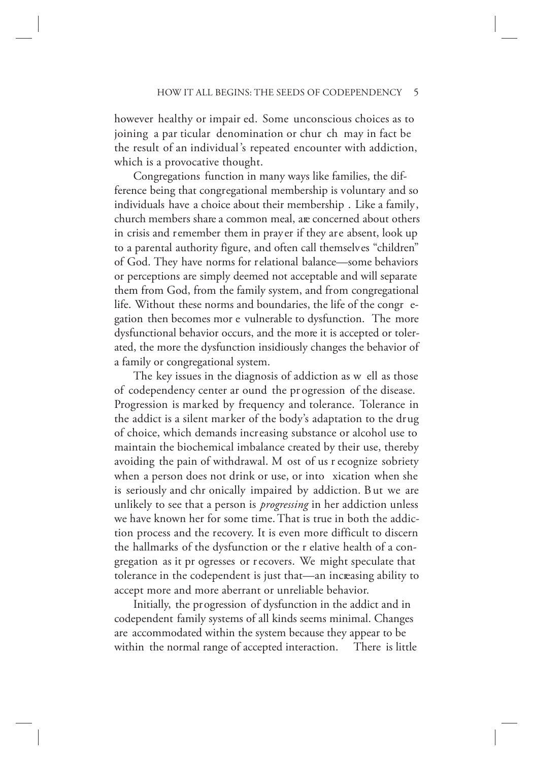however healthy or impair ed. Some unconscious choices as to joining a par ticular denomination or chur ch may in fact be the result of an individual 's repeated encounter with addiction, which is a provocative thought.

Congregations function in many ways like families, the difference being that congregational membership is voluntary and so individuals have a choice about their membership . Like a family, church members share a common meal, are concerned about others in crisis and remember them in prayer if they are absent, look up to a parental authority figure, and often call themselves "children" of God. They have norms for relational balance—some behaviors or perceptions are simply deemed not acceptable and will separate them from God, from the family system, and from congregational life. Without these norms and boundaries, the life of the congr egation then becomes mor e vulnerable to dysfunction. The more dysfunctional behavior occurs, and the more it is accepted or tolerated, the more the dysfunction insidiously changes the behavior of a family or congregational system.

The key issues in the diagnosis of addiction as w ell as those of codependency center ar ound the pr ogression of the disease. Progression is marked by frequency and tolerance. Tolerance in the addict is a silent marker of the body's adaptation to the drug of choice, which demands increasing substance or alcohol use to maintain the biochemical imbalance created by their use, thereby avoiding the pain of withdrawal. M ost of us r ecognize sobriety when a person does not drink or use, or into xication when she is seriously and chr onically impaired by addiction. B ut we are unlikely to see that a person is *progressing* in her addiction unless we have known her for some time. That is true in both the addiction process and the recovery. It is even more difficult to discern the hallmarks of the dysfunction or the r elative health of a congregation as it pr ogresses or r ecovers. We might speculate that tolerance in the codependent is just that—an increasing ability to accept more and more aberrant or unreliable behavior.

Initially, the progression of dysfunction in the addict and in codependent family systems of all kinds seems minimal. Changes are accommodated within the system because they appear to be within the normal range of accepted interaction. There is little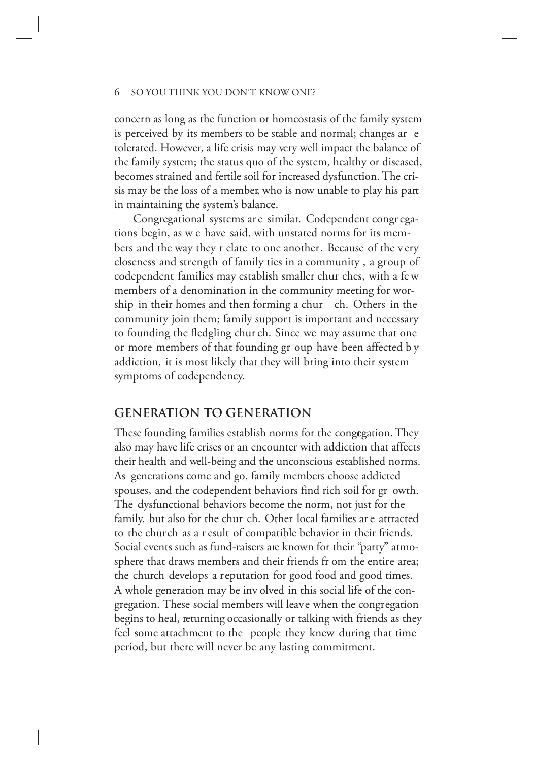concern as long as the function or homeostasis of the family system is perceived by its members to be stable and normal; changes ar e tolerated. However, a life crisis may very well impact the balance of the family system; the status quo of the system, healthy or diseased, becomes strained and fertile soil for increased dysfunction. The crisis may be the loss of a member, who is now unable to play his part in maintaining the system's balance.

Congregational systems ar e similar. Codependent congr egations begin, as w e have said, with unstated norms for its members and the way they r elate to one another. Because of the v ery closeness and strength of family ties in a community , a group of codependent families may establish smaller chur ches, with a fe w members of a denomination in the community meeting for worship in their homes and then forming a chur ch. Others in the community join them; family support is important and necessary to founding the fledgling chur ch. Since we may assume that one or more members of that founding gr oup have been affected b y addiction, it is most likely that they will bring into their system symptoms of codependency.

## **GENERATION TO GENERATION**

These founding families establish norms for the congegation. They also may have life crises or an encounter with addiction that affects their health and well-being and the unconscious established norms. As generations come and go, family members choose addicted spouses, and the codependent behaviors find rich soil for gr owth. The dysfunctional behaviors become the norm, not just for the family, but also for the chur ch. Other local families ar e attracted to the church as a r esult of compatible behavior in their friends. Social events such as fund-raisers are known for their "party" atmosphere that draws members and their friends fr om the entire area; the church develops a reputation for good food and good times. A whole generation may be inv olved in this social life of the congregation. These social members will leave when the congregation begins to heal, returning occasionally or talking with friends as they feel some attachment to the people they knew during that time period, but there will never be any lasting commitment.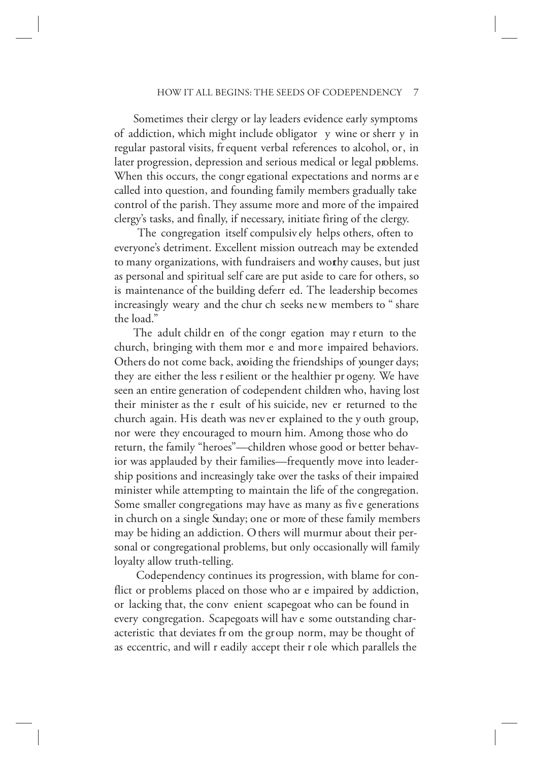Sometimes their clergy or lay leaders evidence early symptoms of addiction, which might include obligator y wine or sherr y in regular pastoral visits, frequent verbal references to alcohol, or, in later progression, depression and serious medical or legal problems. When this occurs, the congr egational expectations and norms ar e called into question, and founding family members gradually take control of the parish. They assume more and more of the impaired clergy's tasks, and finally, if necessary, initiate firing of the clergy.

 The congregation itself compulsiv ely helps others, often to everyone's detriment. Excellent mission outreach may be extended to many organizations, with fundraisers and worthy causes, but just as personal and spiritual self care are put aside to care for others, so is maintenance of the building deferr ed. The leadership becomes increasingly weary and the chur ch seeks ne w members to " share the load."

The adult childr en of the congr egation may r eturn to the church, bringing with them mor e and more impaired behaviors. Others do not come back, avoiding the friendships of younger days; they are either the less r esilient or the healthier pr ogeny. We have seen an entire generation of codependent children who, having lost their minister as the r esult of his suicide, nev er returned to the church again. His death was nev er explained to the y outh group, nor were they encouraged to mourn him. Among those who do return, the family "heroes"—children whose good or better behavior was applauded by their families—frequently move into leadership positions and increasingly take over the tasks of their impaired minister while attempting to maintain the life of the congregation. Some smaller congregations may have as many as fiv e generations in church on a single Sunday; one or more of these family members may be hiding an addiction. O thers will murmur about their personal or congregational problems, but only occasionally will family loyalty allow truth-telling.

 Codependency continues its progression, with blame for conflict or problems placed on those who ar e impaired by addiction, or lacking that, the conv enient scapegoat who can be found in every congregation. Scapegoats will hav e some outstanding characteristic that deviates fr om the group norm, may be thought of as eccentric, and will r eadily accept their r ole which parallels the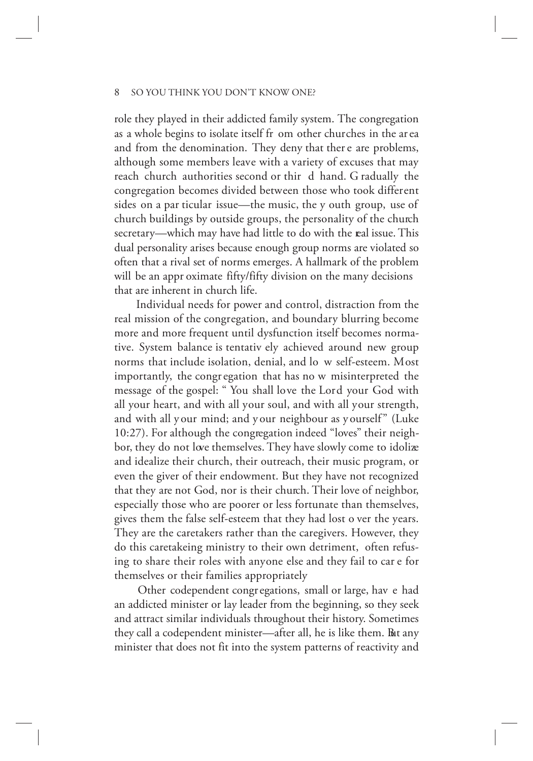role they played in their addicted family system. The congregation as a whole begins to isolate itself fr om other churches in the ar ea and from the denomination. They deny that ther e are problems, although some members leave with a variety of excuses that may reach church authorities second or thir d hand. G radually the congregation becomes divided between those who took different sides on a par ticular issue—the music, the y outh group, use of church buildings by outside groups, the personality of the church secretary—which may have had little to do with the real issue. This dual personality arises because enough group norms are violated so often that a rival set of norms emerges. A hallmark of the problem will be an appr oximate fifty/fifty division on the many decisions that are inherent in church life.

 Individual needs for power and control, distraction from the real mission of the congregation, and boundary blurring become more and more frequent until dysfunction itself becomes normative. System balance is tentativ ely achieved around new group norms that include isolation, denial, and lo w self-esteem. Most importantly, the congr egation that has no w misinterpreted the message of the gospel: " You shall love the Lord your God with all your heart, and with all your soul, and with all your strength, and with all y our mind; and y our neighbour as y ourself" (Luke 10:27). For although the congregation indeed "loves" their neighbor, they do not love themselves. They have slowly come to idolize and idealize their church, their outreach, their music program, or even the giver of their endowment. But they have not recognized that they are not God, nor is their church. Their love of neighbor, especially those who are poorer or less fortunate than themselves, gives them the false self-esteem that they had lost o ver the years. They are the caretakers rather than the caregivers. However, they do this caretakeing ministry to their own detriment, often refusing to share their roles with anyone else and they fail to car e for themselves or their families appropriately

 Other codependent congregations, small or large, hav e had an addicted minister or lay leader from the beginning, so they seek and attract similar individuals throughout their history. Sometimes they call a codependent minister—after all, he is like them. But any minister that does not fit into the system patterns of reactivity and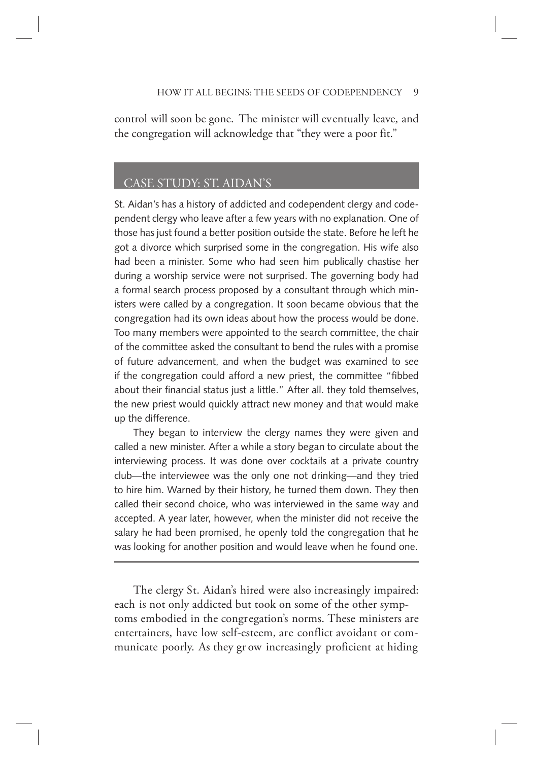control will soon be gone. The minister will eventually leave, and the congregation will acknowledge that "they were a poor fit."

# CASE STUDY: ST. AIDAN'S

St. Aidan's has a history of addicted and codependent clergy and codependent clergy who leave after a few years with no explanation. One of those has just found a better position outside the state. Before he left he got a divorce which surprised some in the congregation. His wife also had been a minister. Some who had seen him publically chastise her during a worship service were not surprised. The governing body had a formal search process proposed by a consultant through which ministers were called by a congregation. It soon became obvious that the congregation had its own ideas about how the process would be done. Too many members were appointed to the search committee, the chair of the committee asked the consultant to bend the rules with a promise of future advancement, and when the budget was examined to see if the congregation could afford a new priest, the committee "fibbed about their financial status just a little." After all. they told themselves, the new priest would quickly attract new money and that would make up the difference.

They began to interview the clergy names they were given and called a new minister. After a while a story began to circulate about the interviewing process. It was done over cocktails at a private country club—the interviewee was the only one not drinking—and they tried to hire him. Warned by their history, he turned them down. They then called their second choice, who was interviewed in the same way and accepted. A year later, however, when the minister did not receive the salary he had been promised, he openly told the congregation that he was looking for another position and would leave when he found one.

The clergy St. Aidan's hired were also increasingly impaired: each is not only addicted but took on some of the other symptoms embodied in the congregation's norms. These ministers are entertainers, have low self-esteem, are conflict avoidant or communicate poorly. As they gr ow increasingly proficient at hiding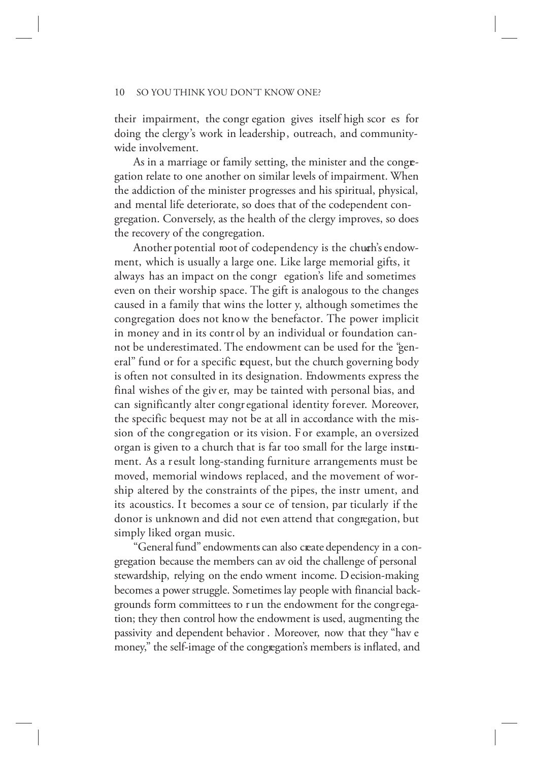their impairment, the congr egation gives itself high scor es for doing the clergy's work in leadership, outreach, and communitywide involvement.

As in a marriage or family setting, the minister and the congregation relate to one another on similar levels of impairment. When the addiction of the minister progresses and his spiritual, physical, and mental life deteriorate, so does that of the codependent congregation. Conversely, as the health of the clergy improves, so does the recovery of the congregation.

Another potential root of codependency is the chuch's endowment, which is usually a large one. Like large memorial gifts, it always has an impact on the congr egation's life and sometimes even on their worship space. The gift is analogous to the changes caused in a family that wins the lotter y, although sometimes the congregation does not know the benefactor. The power implicit in money and in its contr ol by an individual or foundation cannot be underestimated. The endowment can be used for the "general" fund or for a specific request, but the church governing body is often not consulted in its designation. Endowments express the final wishes of the giv er, may be tainted with personal bias, and can significantly alter congregational identity forever. Moreover, the specific bequest may not be at all in accordance with the mission of the congregation or its vision. For example, an oversized organ is given to a church that is far too small for the large instrument. As a result long-standing furniture arrangements must be moved, memorial windows replaced, and the movement of worship altered by the constraints of the pipes, the instr ument, and its acoustics. It becomes a sour ce of tension, par ticularly if the donor is unknown and did not even attend that congregation, but simply liked organ music.

"General fund" endowments can also create dependency in a congregation because the members can av oid the challenge of personal stewardship, relying on the endo wment income. Decision-making becomes a power struggle. Sometimes lay people with financial backgrounds form committees to r un the endowment for the congregation; they then control how the endowment is used, augmenting the passivity and dependent behavior . Moreover, now that they "hav e money," the self-image of the congregation's members is inflated, and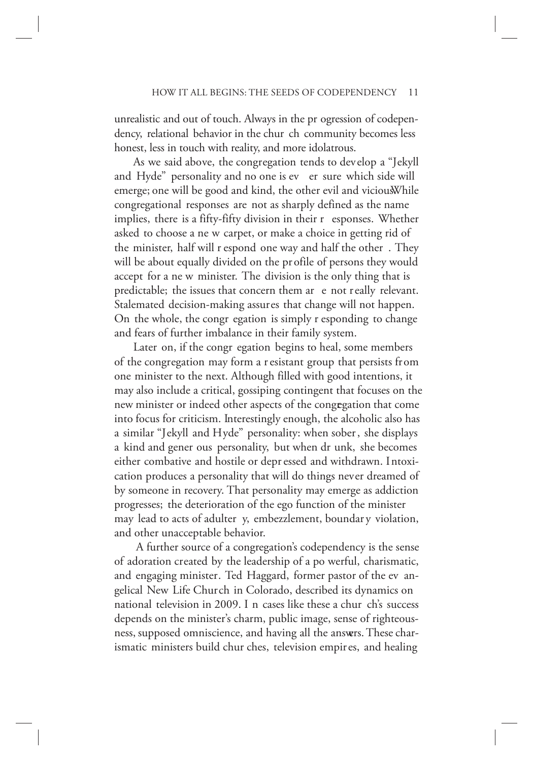unrealistic and out of touch. Always in the pr ogression of codependency, relational behavior in the chur ch community becomes less honest, less in touch with reality, and more idolatrous.

As we said above, the congregation tends to develop a "Jekyll and Hyde" personality and no one is ev er sure which side will emerge; one will be good and kind, the other evil and vicious. While congregational responses are not as sharply defined as the name implies, there is a fifty-fifty division in their r esponses. Whether asked to choose a ne w carpet, or make a choice in getting rid of the minister, half will r espond one way and half the other . They will be about equally divided on the pr ofile of persons they would accept for a ne w minister. The division is the only thing that is predictable; the issues that concern them ar e not really relevant. Stalemated decision-making assures that change will not happen. On the whole, the congr egation is simply r esponding to change and fears of further imbalance in their family system.

Later on, if the congr egation begins to heal, some members of the congregation may form a r esistant group that persists from one minister to the next. Although filled with good intentions, it may also include a critical, gossiping contingent that focuses on the new minister or indeed other aspects of the congregation that come into focus for criticism. Interestingly enough, the alcoholic also has a similar "Jekyll and Hyde" personality: when sober , she displays a kind and gener ous personality, but when dr unk, she becomes either combative and hostile or depr essed and withdrawn. Intoxication produces a personality that will do things never dreamed of by someone in recovery. That personality may emerge as addiction progresses; the deterioration of the ego function of the minister may lead to acts of adulter y, embezzlement, boundar y violation, and other unacceptable behavior.

 A further source of a congregation's codependency is the sense of adoration created by the leadership of a po werful, charismatic, and engaging minister. Ted Haggard, former pastor of the ev angelical New Life Church in Colorado, described its dynamics on national television in 2009. I n cases like these a chur ch's success depends on the minister's charm, public image, sense of righteousness, supposed omniscience, and having all the answers. These charismatic ministers build chur ches, television empires, and healing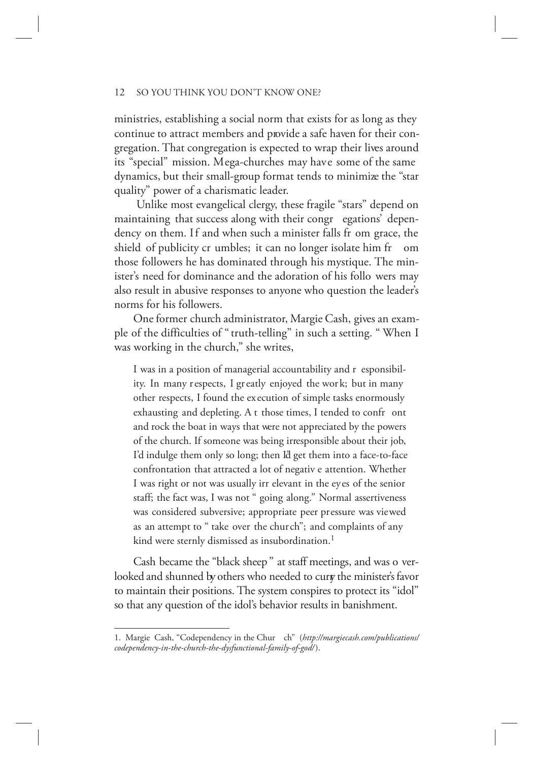ministries, establishing a social norm that exists for as long as they continue to attract members and provide a safe haven for their congregation. That congregation is expected to wrap their lives around its "special" mission. Mega-churches may have some of the same dynamics, but their small-group format tends to minimize the "star quality" power of a charismatic leader.

 Unlike most evangelical clergy, these fragile "stars" depend on maintaining that success along with their congr egations' dependency on them. If and when such a minister falls fr om grace, the shield of publicity cr umbles; it can no longer isolate him fr om those followers he has dominated through his mystique. The minister's need for dominance and the adoration of his follo wers may also result in abusive responses to anyone who question the leader's norms for his followers.

One former church administrator, Margie Cash, gives an example of the difficulties of " truth-telling" in such a setting. " When I was working in the church," she writes,

I was in a position of managerial accountability and r esponsibility. In many respects, I greatly enjoyed the wor k; but in many other respects, I found the ex ecution of simple tasks enormously exhausting and depleting. A t those times, I tended to confr ont and rock the boat in ways that were not appreciated by the powers of the church. If someone was being irresponsible about their job, I'd indulge them only so long; then I'd get them into a face-to-face confrontation that attracted a lot of negativ e attention. Whether I was right or not was usually irr elevant in the eyes of the senior staff; the fact was, I was not " going along." Normal assertiveness was considered subversive; appropriate peer pressure was viewed as an attempt to " take over the church"; and complaints of any kind were sternly dismissed as insubordination.<sup>1</sup>

Cash became the "black sheep " at staff meetings, and was o verlooked and shunned by others who needed to cury the minister's favor to maintain their positions. The system conspires to protect its "idol" so that any question of the idol's behavior results in banishment.

<sup>1.</sup> Margie Cash, "Codependency in the Chur ch" (*http://margiecash.com/publications/ codependency-in-the-church-the-dysfunctional-family-of-god/* ).